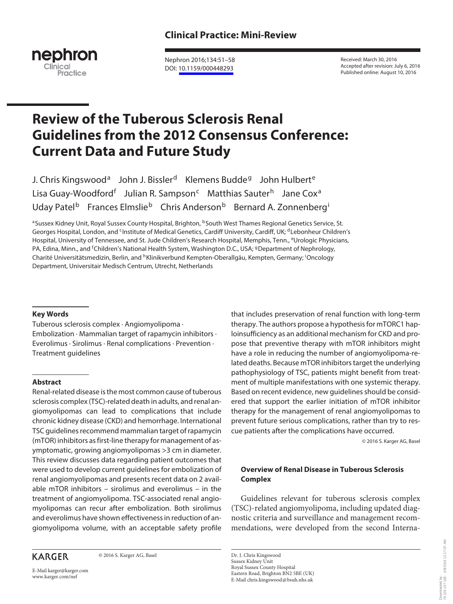

 Nephron 2016;134:51–58 DOI: [10.1159/000448293](http://dx.doi.org/10.1159%2F000448293)

 Received: March 30, 2016 Accepted after revision: July 6, 2016 Published online: August 10, 2016

# **Review of the Tuberous Sclerosis Renal Guidelines from the 2012 Consensus Conference: Current Data and Future Study**

J. Chris Kingswood<sup>a</sup> John J. Bissler<sup>d</sup> Klemens Budde<sup>g</sup> John Hulbert<sup>e</sup> Lisa Guay-Woodford<sup>f</sup> Julian R. Sampson<sup>c</sup> Matthias Sauter<sup>h</sup> Jane Cox<sup>a</sup> Uday Patel<sup>b</sup> Frances Elmslie<sup>b</sup> Chris Anderson<sup>b</sup> Bernard A. Zonnenberg<sup>i</sup>

a Sussex Kidney Unit, Royal Sussex County Hospital, Brighton, <sup>b</sup> South West Thames Regional Genetics Service, St. Georges Hospital, London, and <sup>c</sup>Institute of Medical Genetics, Cardiff University, Cardiff, UK; <sup>d</sup> Lebonheur Children's Hospital, University of Tennessee, and St. Jude Children's Research Hospital, Memphis, Tenn., <sup>e</sup> Urologic Physicians, PA, Edina, Minn., and <sup>f</sup>Children's National Health System, Washington D.C., USA; <sup>g</sup>Department of Nephrology, Charité Universitätsmedizin, Berlin, and <sup>h</sup>Klinikverbund Kempten-Oberallgäu, Kempten, Germany; <sup>i</sup>Oncology Department, Universitair Medisch Centrum, Utrecht, Netherlands

#### **Key Words**

 Tuberous sclerosis complex · Angiomyolipoma · Embolization · Mammalian target of rapamycin inhibitors · Everolimus · Sirolimus · Renal complications · Prevention · Treatment guidelines

## **Abstract**

 Renal-related disease is the most common cause of tuberous sclerosis complex (TSC)-related death in adults, and renal angiomyolipomas can lead to complications that include chronic kidney disease (CKD) and hemorrhage. International TSC guidelines recommend mammalian target of rapamycin (mTOR) inhibitors as first-line therapy for management of asymptomatic, growing angiomyolipomas >3 cm in diameter. This review discusses data regarding patient outcomes that were used to develop current guidelines for embolization of renal angiomyolipomas and presents recent data on 2 available mTOR inhibitors – sirolimus and everolimus – in the treatment of angiomyolipoma. TSC-associated renal angiomyolipomas can recur after embolization. Both sirolimus and everolimus have shown effectiveness in reduction of angiomyolipoma volume, with an acceptable safety profile

## **KARGER**

© 2016 S. Karger AG, Basel

E-Mail karger@karger.com www.karger.com/nef

that includes preservation of renal function with long-term therapy. The authors propose a hypothesis for mTORC1 haploinsufficiency as an additional mechanism for CKD and propose that preventive therapy with mTOR inhibitors might have a role in reducing the number of angiomyolipoma-related deaths. Because mTOR inhibitors target the underlying pathophysiology of TSC, patients might benefit from treatment of multiple manifestations with one systemic therapy. Based on recent evidence, new guidelines should be considered that support the earlier initiation of mTOR inhibitor therapy for the management of renal angiomyolipomas to prevent future serious complications, rather than try to rescue patients after the complications have occurred.

© 2016 S. Karger AG, Basel

## **Overview of Renal Disease in Tuberous Sclerosis Complex**

 Guidelines relevant for tuberous sclerosis complex (TSC)-related angiomyolipoma, including updated diagnostic criteria and surveillance and management recommendations, were developed from the second Interna-

Downloaded by:<br>76.126.157.182 - 1/8/2018 12:17:07 AM 76.126.157.182 - 1/8/2018 12:17:07 AMDownloaded by:

 Dr. J. Chris Kingswood Sussex Kidney Unit Royal Sussex County Hospital Eastern Road, Brighton BN2 5BE (UK) E-Mail chris.kingswood @ bsuh.nhs.uk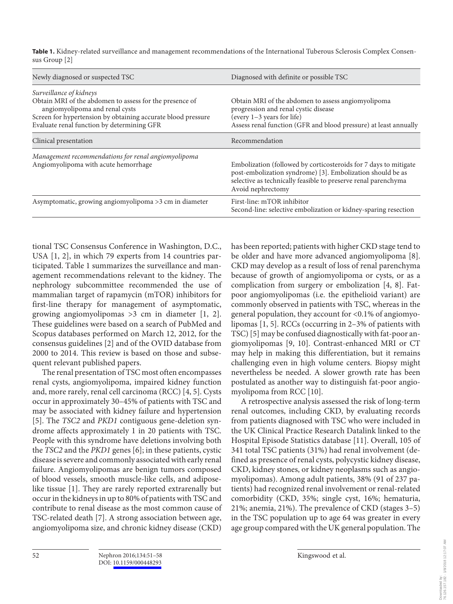**Table 1.** Kidney-related surveillance and management recommendations of the International Tuberous Sclerosis Complex Consensus Group [2]

| Newly diagnosed or suspected TSC                                                                                                                                                                                                   | Diagnosed with definite or possible TSC                                                                                                                                                                               |  |
|------------------------------------------------------------------------------------------------------------------------------------------------------------------------------------------------------------------------------------|-----------------------------------------------------------------------------------------------------------------------------------------------------------------------------------------------------------------------|--|
| Surveillance of kidneys<br>Obtain MRI of the abdomen to assess for the presence of<br>angiomyolipoma and renal cysts<br>Screen for hypertension by obtaining accurate blood pressure<br>Evaluate renal function by determining GFR | Obtain MRI of the abdomen to assess angiomyolipoma<br>progression and renal cystic disease<br>(every 1-3 years for life)<br>Assess renal function (GFR and blood pressure) at least annually                          |  |
| Clinical presentation                                                                                                                                                                                                              | Recommendation                                                                                                                                                                                                        |  |
| Management recommendations for renal angiomyolipoma<br>Angiomyolipoma with acute hemorrhage                                                                                                                                        | Embolization (followed by corticosteroids for 7 days to mitigate<br>post-embolization syndrome) [3]. Embolization should be as<br>selective as technically feasible to preserve renal parenchyma<br>Avoid nephrectomy |  |
| Asymptomatic, growing angiomyolipoma >3 cm in diameter                                                                                                                                                                             | First-line: mTOR inhibitor<br>Second-line: selective embolization or kidney-sparing resection                                                                                                                         |  |

tional TSC Consensus Conference in Washington, D.C., USA [1, 2], in which 79 experts from 14 countries participated. Table 1 summarizes the surveillance and management recommendations relevant to the kidney. The nephrology subcommittee recommended the use of mammalian target of rapamycin (mTOR) inhibitors for first-line therapy for management of asymptomatic, growing angiomyolipomas >3 cm in diameter [1, 2] . These guidelines were based on a search of PubMed and Scopus databases performed on March 12, 2012, for the consensus guidelines [2] and of the OVID database from 2000 to 2014. This review is based on those and subsequent relevant published papers.

 The renal presentation of TSC most often encompasses renal cysts, angiomyolipoma, impaired kidney function and, more rarely, renal cell carcinoma (RCC) [4, 5] . Cysts occur in approximately 30–45% of patients with TSC and may be associated with kidney failure and hypertension [5]. The *TSC2* and *PKD1* contiguous gene-deletion syndrome affects approximately 1 in 20 patients with TSC. People with this syndrome have deletions involving both the *TSC2* and the *PKD1* genes [6]; in these patients, cystic disease is severe and commonly associated with early renal failure. Angiomyolipomas are benign tumors composed of blood vessels, smooth muscle-like cells, and adiposelike tissue [1]. They are rarely reported extrarenally but occur in the kidneys in up to 80% of patients with TSC and contribute to renal disease as the most common cause of TSC-related death [7]. A strong association between age, angiomyolipoma size, and chronic kidney disease (CKD)

has been reported; patients with higher CKD stage tend to be older and have more advanced angiomyolipoma [8]. CKD may develop as a result of loss of renal parenchyma because of growth of angiomyolipoma or cysts, or as a complication from surgery or embolization [4, 8]. Fatpoor angiomyolipomas (i.e. the epithelioid variant) are commonly observed in patients with TSC, whereas in the general population, they account for <0.1% of angiomyolipomas [1, 5] . RCCs (occurring in 2–3% of patients with TSC) [5] may be confused diagnostically with fat-poor angiomyolipomas [9, 10]. Contrast-enhanced MRI or CT may help in making this differentiation, but it remains challenging even in high volume centers. Biopsy might nevertheless be needed. A slower growth rate has been postulated as another way to distinguish fat-poor angiomyolipoma from RCC [10].

 A retrospective analysis assessed the risk of long-term renal outcomes, including CKD, by evaluating records from patients diagnosed with TSC who were included in the UK Clinical Practice Research Datalink linked to the Hospital Episode Statistics database [11]. Overall, 105 of 341 total TSC patients (31%) had renal involvement (defined as presence of renal cysts, polycystic kidney disease, CKD, kidney stones, or kidney neoplasms such as angiomyolipomas). Among adult patients, 38% (91 of 237 patients) had recognized renal involvement or renal-related comorbidity (CKD, 35%; single cyst, 16%; hematuria, 21%; anemia, 21%). The prevalence of CKD (stages 3–5) in the TSC population up to age 64 was greater in every age group compared with the UK general population. The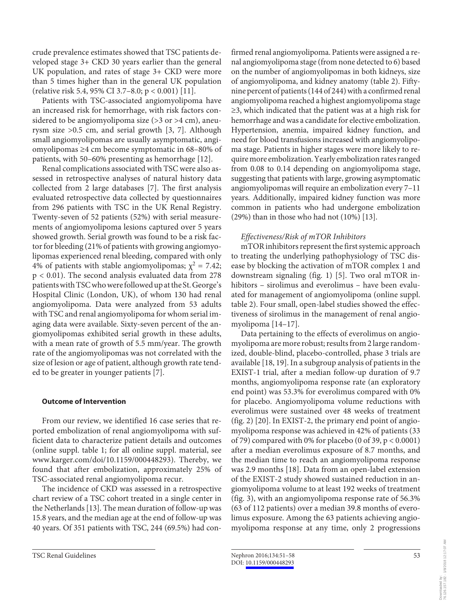crude prevalence estimates showed that TSC patients developed stage 3+ CKD 30 years earlier than the general UK population, and rates of stage 3+ CKD were more than 5 times higher than in the general UK population (relative risk 5.4, 95% CI 3.7–8.0; p < 0.001) [11].

 Patients with TSC-associated angiomyolipoma have an increased risk for hemorrhage, with risk factors considered to be angiomyolipoma size  $(>3$  or  $>4$  cm), aneurysm size  $>0.5$  cm, and serial growth [3, 7]. Although small angiomyolipomas are usually asymptomatic, angiomyolipomas  $\geq 4$  cm become symptomatic in 68–80% of patients, with 50–60% presenting as hemorrhage [12] .

 Renal complications associated with TSC were also assessed in retrospective analyses of natural history data collected from 2 large databases [7]. The first analysis evaluated retrospective data collected by questionnaires from 296 patients with TSC in the UK Renal Registry. Twenty-seven of 52 patients (52%) with serial measurements of angiomyolipoma lesions captured over 5 years showed growth. Serial growth was found to be a risk factor for bleeding (21% of patients with growing angiomyolipomas experienced renal bleeding, compared with only 4% of patients with stable angiomyolipomas;  $\chi^2 = 7.42$ ; p < 0.01). The second analysis evaluated data from 278 patients with TSC who were followed up at the St. George's Hospital Clinic (London, UK), of whom 130 had renal angiomyolipoma. Data were analyzed from 53 adults with TSC and renal angiomyolipoma for whom serial imaging data were available. Sixty-seven percent of the angiomyolipomas exhibited serial growth in these adults, with a mean rate of growth of 5.5 mm/year. The growth rate of the angiomyolipomas was not correlated with the size of lesion or age of patient, although growth rate tended to be greater in younger patients [7].

#### **Outcome of Intervention**

 From our review, we identified 16 case series that reported embolization of renal angiomyolipoma with sufficient data to characterize patient details and outcomes (online suppl. table 1; for all online suppl. material, see www.karger.com/doi/10.1159/000448293). Thereby, we found that after embolization, approximately 25% of TSC-associated renal angiomyolipoma recur.

 The incidence of CKD was assessed in a retrospective chart review of a TSC cohort treated in a single center in the Netherlands [13]. The mean duration of follow-up was 15.8 years, and the median age at the end of follow-up was 40 years. Of 351 patients with TSC, 244 (69.5%) had confirmed renal angiomyolipoma. Patients were assigned a renal angiomyolipoma stage (from none detected to 6) based on the number of angiomyolipomas in both kidneys, size of angiomyolipoma, and kidney anatomy (table 2). Fiftynine percent of patients (144 of 244) with a confirmed renal angiomyolipoma reached a highest angiomyolipoma stage  $\geq$ 3, which indicated that the patient was at a high risk for hemorrhage and was a candidate for elective embolization. Hypertension, anemia, impaired kidney function, and need for blood transfusions increased with angiomyolipoma stage. Patients in higher stages were more likely to require more embolization. Yearly embolization rates ranged from 0.08 to 0.14 depending on angiomyolipoma stage, suggesting that patients with large, growing asymptomatic angiomyolipomas will require an embolization every 7–11 years. Additionally, impaired kidney function was more common in patients who had undergone embolization  $(29%)$  than in those who had not  $(10%)$  [13].

## *Effectiveness/Risk of mTOR Inhibitors*

 mTOR inhibitors represent the first systemic approach to treating the underlying pathophysiology of TSC disease by blocking the activation of mTOR complex 1 and downstream signaling (fig. 1) [5]. Two oral mTOR inhibitors – sirolimus and everolimus – have been evaluated for management of angiomyolipoma (online suppl. table 2). Four small, open-label studies showed the effectiveness of sirolimus in the management of renal angiomyolipoma [14–17] .

 Data pertaining to the effects of everolimus on angiomyolipoma are more robust; results from 2 large randomized, double-blind, placebo-controlled, phase 3 trials are available [18, 19] . In a subgroup analysis of patients in the EXIST-1 trial, after a median follow-up duration of 9.7 months, angiomyolipoma response rate (an exploratory end point) was 53.3% for everolimus compared with 0% for placebo. Angiomyolipoma volume reductions with everolimus were sustained over 48 weeks of treatment  $(fig. 2)$  [20]. In EXIST-2, the primary end point of angiomyolipoma response was achieved in 42% of patients (33 of 79) compared with 0% for placebo (0 of 39, p < 0.0001) after a median everolimus exposure of 8.7 months, and the median time to reach an angiomyolipoma response was 2.9 months [18]. Data from an open-label extension of the EXIST-2 study showed sustained reduction in angiomyolipoma volume to at least 192 weeks of treatment (fig. 3), with an angiomyolipoma response rate of  $56.3\%$ (63 of 112 patients) over a median 39.8 months of everolimus exposure. Among the 63 patients achieving angiomyolipoma response at any time, only 2 progressions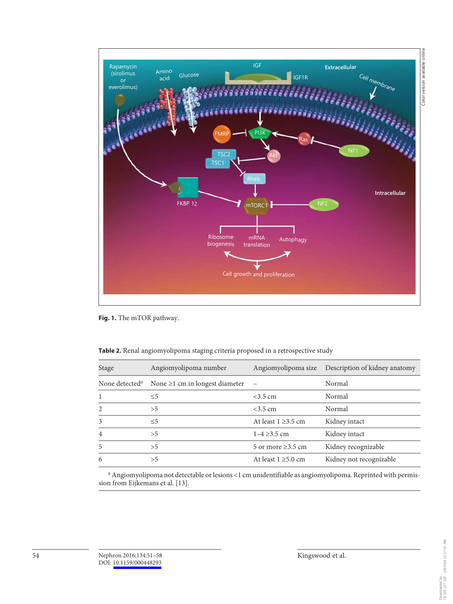

**Fig. 1.** The mTOR pathway.

| Stage          | Angiomyolipoma number                                           | Angiomyolipoma size      | Description of kidney anatomy |
|----------------|-----------------------------------------------------------------|--------------------------|-------------------------------|
|                | None detected <sup>a</sup> None $\geq 1$ cm in longest diameter |                          | Normal                        |
|                | $\leq 5$                                                        | $<$ 3.5 cm               | Normal                        |
| $\overline{2}$ | >5                                                              | $<$ 3.5 cm               | Normal                        |
| 3              | $\leq 5$                                                        | At least $1 \geq 3.5$ cm | Kidney intact                 |
| 4              | >5                                                              | $1 - 4 \ge 3.5$ cm       | Kidney intact                 |
| 5              | >5                                                              | 5 or more $\geq$ 3.5 cm  | Kidney recognizable           |
| 6              | >5                                                              | At least $1 \geq 5.0$ cm | Kidney not recognizable       |

<sup>a</sup> Angiomyolipoma not detectable or lesions <1 cm unidentifiable as angiomyolipoma. Reprinted with permission from Eijkemans et al. [13].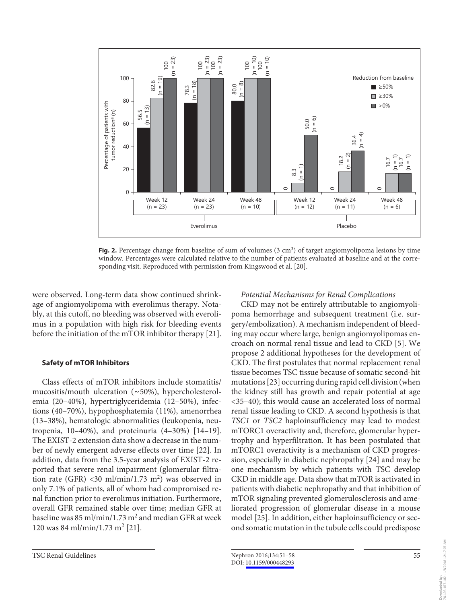

Fig. 2. Percentage change from baseline of sum of volumes (3 cm<sup>3</sup>) of target angiomyolipoma lesions by time window. Percentages were calculated relative to the number of patients evaluated at baseline and at the corresponding visit. Reproduced with permission from Kingswood et al. [20] .

were observed. Long-term data show continued shrinkage of angiomyolipoma with everolimus therapy. Notably, at this cutoff, no bleeding was observed with everolimus in a population with high risk for bleeding events before the initiation of the mTOR inhibitor therapy [21].

## **Safety of mTOR Inhibitors**

 Class effects of mTOR inhibitors include stomatitis/ mucositis/mouth ulceration ( ∼ 50%), hypercholesterolemia (20–40%), hypertriglyceridemia (12–50%), infections (40–70%), hypophosphatemia (11%), amenorrhea (13–38%), hematologic abnormalities (leukopenia, neutropenia, 10–40%), and proteinuria (4–30%) [14–19] . The EXIST-2 extension data show a decrease in the number of newly emergent adverse effects over time [22]. In addition, data from the 3.5-year analysis of EXIST-2 reported that severe renal impairment (glomerular filtration rate (GFR) <30 ml/min/1.73 m<sup>2</sup>) was observed in only 7.1% of patients, all of whom had compromised renal function prior to everolimus initiation. Furthermore, overall GFR remained stable over time; median GFR at baseline was 85 ml/min/1.73  $m<sup>2</sup>$  and median GFR at week 120 was 84 ml/min/1.73 m<sup>2</sup> [21].

## *Potential Mechanisms for Renal Complications*

 CKD may not be entirely attributable to angiomyolipoma hemorrhage and subsequent treatment (i.e. surgery/embolization). A mechanism independent of bleeding may occur where large, benign angiomyolipomas encroach on normal renal tissue and lead to CKD [5]. We propose 2 additional hypotheses for the development of CKD. The first postulates that normal replacement renal tissue becomes TSC tissue because of somatic second-hit mutations [23] occurring during rapid cell division (when the kidney still has growth and repair potential at age <35–40); this would cause an accelerated loss of normal renal tissue leading to CKD. A second hypothesis is that *TSC1* or *TSC2* haploinsufficiency may lead to modest mTORC1 overactivity and, therefore, glomerular hypertrophy and hyperfiltration. It has been postulated that mTORC1 overactivity is a mechanism of CKD progression, especially in diabetic nephropathy [24] and may be one mechanism by which patients with TSC develop CKD in middle age. Data show that mTOR is activated in patients with diabetic nephropathy and that inhibition of mTOR signaling prevented glomerulosclerosis and ameliorated progression of glomerular disease in a mouse model [25]. In addition, either haploinsufficiency or second somatic mutation in the tubule cells could predispose

76.126.157.182 - 1/8/2018 12:17:07 AM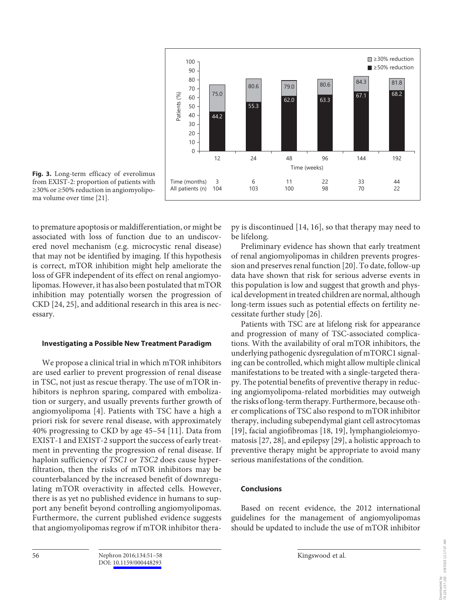

**Fig. 3.** Long-term efficacy of everolimus from EXIST-2: proportion of patients with  $\geq$ 30% or  $\geq$ 50% reduction in angiomyolipoma volume over time [21].

to premature apoptosis or maldifferentiation, or might be associated with loss of function due to an undiscovered novel mechanism (e.g. microcystic renal disease) that may not be identified by imaging. If this hypothesis is correct, mTOR inhibition might help ameliorate the loss of GFR independent of its effect on renal angiomyolipomas. However, it has also been postulated that mTOR inhibition may potentially worsen the progression of CKD [24, 25], and additional research in this area is necessary.

#### **Investigating a Possible New Treatment Paradigm**

 We propose a clinical trial in which mTOR inhibitors are used earlier to prevent progression of renal disease in TSC, not just as rescue therapy. The use of mTOR inhibitors is nephron sparing, compared with embolization or surgery, and usually prevents further growth of angiomyolipoma [4]. Patients with TSC have a high a priori risk for severe renal disease, with approximately 40% progressing to CKD by age 45–54 [11]. Data from EXIST-1 and EXIST-2 support the success of early treatment in preventing the progression of renal disease. If haploin sufficiency of *TSC1* or *TSC2* does cause hyperfiltration, then the risks of mTOR inhibitors may be counterbalanced by the increased benefit of downregulating mTOR overactivity in affected cells. However, there is as yet no published evidence in humans to support any benefit beyond controlling angiomyolipomas. Furthermore, the current published evidence suggests that angiomyolipomas regrow if mTOR inhibitor therapy is discontinued  $[14, 16]$ , so that therapy may need to be lifelong.

 Preliminary evidence has shown that early treatment of renal angiomyolipomas in children prevents progression and preserves renal function [20] . To date, follow-up data have shown that risk for serious adverse events in this population is low and suggest that growth and physical development in treated children are normal, although long-term issues such as potential effects on fertility necessitate further study [26] .

 Patients with TSC are at lifelong risk for appearance and progression of many of TSC-associated complications. With the availability of oral mTOR inhibitors, the underlying pathogenic dysregulation of mTORC1 signaling can be controlled, which might allow multiple clinical manifestations to be treated with a single-targeted therapy. The potential benefits of preventive therapy in reducing angiomyolipoma-related morbidities may outweigh the risks of long-term therapy. Furthermore, because other complications of TSC also respond to mTOR inhibitor therapy, including subependymal giant cell astrocytomas [19], facial angiofibromas [18, 19], lymphangioleiomyomatosis [27, 28], and epilepsy [29], a holistic approach to preventive therapy might be appropriate to avoid many serious manifestations of the condition.

#### **Conclusions**

 Based on recent evidence, the 2012 international guidelines for the management of angiomyolipomas should be updated to include the use of mTOR inhibitor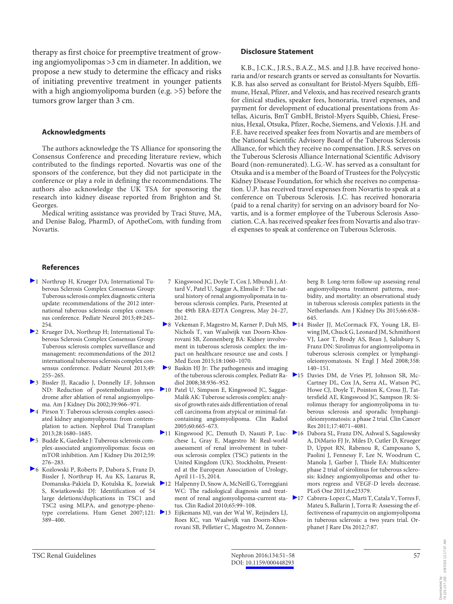therapy as first choice for preemptive treatment of growing angiomyolipomas >3 cm in diameter. In addition, we propose a new study to determine the efficacy and risks of initiating preventive treatment in younger patients with a high angiomyolipoma burden (e.g. >5) before the tumors grow larger than 3 cm.

#### **Acknowledgments**

 The authors acknowledge the TS Alliance for sponsoring the Consensus Conference and preceding literature review, which contributed to the findings reported. Novartis was one of the sponsors of the conference, but they did not participate in the conference or play a role in defining the recommendations. The authors also acknowledge the UK TSA for sponsoring the research into kidney disease reported from Brighton and St. Georges.

 Medical writing assistance was provided by Traci Stuve, MA, and Denise Balog, PharmD, of ApotheCom, with funding from Novartis.

#### **Disclosure Statement**

 K.B., J.C.K., J.R.S., B.A.Z., M.S. and J.J.B. have received honoraria and/or research grants or served as consultants for Novartis. K.B. has also served as consultant for Bristol-Myers Squibb, Effimune, Hexal, Pfizer, and Veloxis, and has received research grants for clinical studies, speaker fees, honoraria, travel expenses, and payment for development of educational presentations from Astellas, Aicuris, BmT GmbH, Bristol-Myers Squibb, Chiesi, Fresenius, Hexal, Otsuka, Pfizer, Roche, Siemens, and Veloxis. J.H. and F.E. have received speaker fees from Novartis and are members of the National Scientific Advisory Board of the Tuberous Sclerosis Alliance, for which they receive no compensation. J.R.S. serves on the Tuberous Sclerosis Alliance International Scientific Advisory Board (non-remunerated). L.G.-W. has served as a consultant for Otsuka and is a member of the Board of Trustees for the Polycystic Kidney Disease Foundation, for which she receives no compensation. U.P. has received travel expenses from Novartis to speak at a conference on Tuberous Sclerosis. J.C. has received honoraria (paid to a renal charity) for serving on an advisory board for Novartis, and is a former employee of the Tuberous Sclerosis Association. C.A. has received speaker fees from Novartis and also travel expenses to speak at conference on Tuberous Sclerosis.

#### **References**

- 1 Northrup H, Krueger DA; International Tuberous Sclerosis Complex Consensus Group: Tuberous sclerosis complex diagnostic criteria update: recommendations of the 2012 international tuberous sclerosis complex consensus conference. Pediatr Neurol 2013;49:243– 254.
- 2 Krueger DA, Northrup H; International Tuberous Sclerosis Complex Consensus Group: Tuberous sclerosis complex surveillance and management: recommendations of the 2012 international tuberous sclerosis complex consensus conference. Pediatr Neurol 2013;49: 255–265.
- 3 Bissler JJ, Racadio J, Donnelly LF, Johnson ND: Reduction of postembolization syndrome after ablation of renal angiomyolipoma. Am J Kidney Dis 2002;39:966–971.
- 4 Pirson Y: Tuberous sclerosis complex-associated kidney angiomyolipoma: from contemplation to action. Nephrol Dial Transplant 2013;28:1680–1685.
- 5 Budde K, Gaedeke J: Tuberous sclerosis complex-associated angiomyolipomas: focus on mTOR inhibition. Am J Kidney Dis 2012;59: 276–283.
- 6 Kozlowski P, Roberts P, Dabora S, Franz D, Bissler J, Northrup H, Au KS, Lazarus R, Domanska-Pakiela D, Kotulska K, Jozwiak S, Kwiatkowski DJ: Identification of 54 large deletions/duplications in TSC1 and TSC2 using MLPA, and genotype-phenotype correlations. Hum Genet 2007;121: 213 389–400.
- 7 Kingswood JC, Doyle T, Cox J, Mbundi J, Attard V, Patel U, Saggar A, Elmslie F: The natural history of renal angiomyolipomata in tuberous sclerosis complex. Paris, Presented at the 49th ERA-EDTA Congress, May 24–27, 2012.
- **8 Vekeman F, Magestro M, Karner P, Duh MS, >14 Bissler JJ, McCormack FX, Young LR, El-**Nichols T, van Waalwijk van Doorn-Khosrovani SB, Zonnenberg BA: Kidney involvement in tuberous sclerosis complex: the impact on healthcare resource use and costs. J Med Econ 2015;18:1060–1070.
- 9 Baskin HJ Jr: The pathogenesis and imaging of the tuberous sclerosis complex. Pediatr Radiol 2008;38:936–952.
- 10 Patel U, Simpson E, Kingswood JC, Saggar-Malik AK: Tuberose sclerosis complex: analysis of growth rates aids differentiation of renal cell carcinoma from atypical or minimal-fatcontaining angiomyolipoma. Clin Radiol 2005;60:665–673.
- 11 Kingswood JC, Demuth D, Nasuti P, Lucchese L, Gray E, Magestro M: Real-world assessment of renal involvement in tuberous sclerosis complex (TSC) patients in the United Kingdom (UK). Stockholm, Presented at the European Association of Urology, April 11–15, 2014.
- 12 Halpenny D, Snow A, McNeill G, Torreggiani WC: The radiological diagnosis and treatment of renal angiomyolipoma-current status. Clin Radiol 2010;65:99–108.
- 13 Eijkemans MJ, van der Wal W, Reijnders LJ, Roes KC, van Waalwijk van Doorn-Khosrovani SB, Pelletier C, Magestro M, Zonnen-

berg B: Long-term follow-up assessing renal angiomyolipoma treatment patterns, morbidity, and mortality: an observational study in tuberous sclerosis complex patients in the Netherlands. Am J Kidney Dis 2015;66:638– 645.

- wing JM, Chuck G, Leonard JM, Schmithorst VJ, Laor T, Brody AS, Bean J, Salisbury S, Franz DN: Sirolimus for angiomyolipoma in tuberous sclerosis complex or lymphangioleiomyomatosis. N Engl J Med 2008;358: 140–151.
- 15 Davies DM, de Vries PJ, Johnson SR, Mc-Cartney DL, Cox JA, Serra AL, Watson PC, Howe CJ, Doyle T, Pointon K, Cross JJ, Tattersfield AE, Kingswood JC, Sampson JR: Sirolimus therapy for angiomyolipoma in tuberous sclerosis and sporadic lymphangioleiomyomatosis: a phase 2 trial. Clin Cancer Res 2011;17:4071–4081.
- 16 Dabora SL, Franz DN, Ashwal S, Sagalowsky A, DiMario FJ Jr, Miles D, Cutler D, Krueger D, Uppot RN, Rabenou R, Camposano S, Paolini J, Fennessy F, Lee N, Woodrum C, Manola J, Garber J, Thiele EA: Multicenter phase 2 trial of sirolimus for tuberous sclerosis: kidney angiomyolipomas and other tumors regress and VEGF-D levels decrease. PLoS One 2011;6:e23379.
	- Cabrera-Lopez C, Marti T, Catala V, Torres F, Mateu S, Ballarin J, Torra R: Assessing the effectiveness of rapamycin on angiomyolipoma in tuberous sclerosis: a two years trial. Orphanet J Rare Dis 2012;7:87.